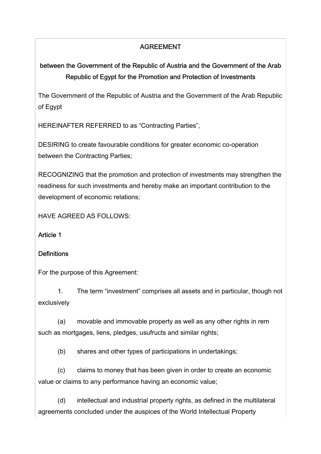# AGREEMENT

# between the Government of the Republic of Austria and the Government of the Arab Republic of Egypt for the Promotion and Protection of Investments

The Government of the Republic of Austria and the Government of the Arab Republic of Egypt

HEREINAFTER REFERRED to as "Contracting Parties",

DESIRING to create favourable conditions for greater economic co-operation between the Contracting Parties;

RECOGNIZING that the promotion and protection of investments may strengthen the readiness for such investments and hereby make an important contribution to the development of economic relations;

HAVE AGREED AS FOLLOWS:

#### Article 1

#### **Definitions**

For the purpose of this Agreement:

 1. The term "investment" comprises all assets and in particular, though not exclusively

 (a) movable and immovable property as well as any other rights in rem such as mortgages, liens, pledges, usufructs and similar rights;

(b) shares and other types of participations in undertakings;

 (c) claims to money that has been given in order to create an economic value or claims to any performance having an economic value;

 (d) intellectual and industrial property rights, as defined in the multilateral agreements concluded under the auspices of the World Intellectual Property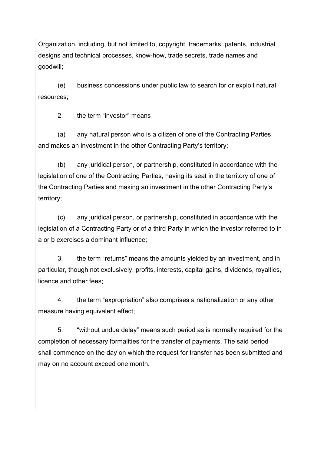Organization, including, but not limited to, copyright, trademarks, patents, industrial designs and technical processes, know-how, trade secrets, trade names and goodwill;

 (e) business concessions under public law to search for or exploit natural resources;

2. the term "investor" means

 (a) any natural person who is a citizen of one of the Contracting Parties and makes an investment in the other Contracting Party's territory;

 (b) any juridical person, or partnership, constituted in accordance with the legislation of one of the Contracting Parties, having its seat in the territory of one of the Contracting Parties and making an investment in the other Contracting Party's territory;

 (c) any juridical person, or partnership, constituted in accordance with the legislation of a Contracting Party or of a third Party in which the investor referred to in a or b exercises a dominant influence;

 3. the term "returns" means the amounts yielded by an investment, and in particular, though not exclusively, profits, interests, capital gains, dividends, royalties, licence and other fees;

 4. the term "expropriation" also comprises a nationalization or any other measure having equivalent effect;

 5. "without undue delay" means such period as is normally required for the completion of necessary formalities for the transfer of payments. The said period shall commence on the day on which the request for transfer has been submitted and may on no account exceed one month.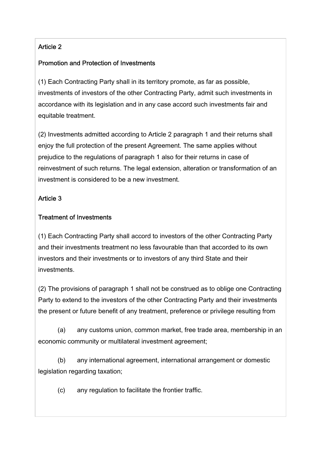# Article 2

### Promotion and Protection of Investments

(1) Each Contracting Party shall in its territory promote, as far as possible, investments of investors of the other Contracting Party, admit such investments in accordance with its legislation and in any case accord such investments fair and equitable treatment.

(2) Investments admitted according to Article 2 paragraph 1 and their returns shall enjoy the full protection of the present Agreement. The same applies without prejudice to the regulations of paragraph 1 also for their returns in case of reinvestment of such returns. The legal extension, alteration or transformation of an investment is considered to be a new investment.

### Article 3

#### Treatment of Investments

(1) Each Contracting Party shall accord to investors of the other Contracting Party and their investments treatment no less favourable than that accorded to its own investors and their investments or to investors of any third State and their investments.

(2) The provisions of paragraph 1 shall not be construed as to oblige one Contracting Party to extend to the investors of the other Contracting Party and their investments the present or future benefit of any treatment, preference or privilege resulting from

 (a) any customs union, common market, free trade area, membership in an economic community or multilateral investment agreement;

 (b) any international agreement, international arrangement or domestic legislation regarding taxation;

(c) any regulation to facilitate the frontier traffic.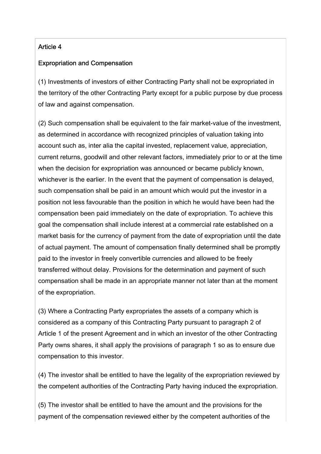#### Article 4

#### Expropriation and Compensation

(1) Investments of investors of either Contracting Party shall not be expropriated in the territory of the other Contracting Party except for a public purpose by due process of law and against compensation.

(2) Such compensation shall be equivalent to the fair market-value of the investment, as determined in accordance with recognized principles of valuation taking into account such as, inter alia the capital invested, replacement value, appreciation, current returns, goodwill and other relevant factors, immediately prior to or at the time when the decision for expropriation was announced or became publicly known, whichever is the earlier. In the event that the payment of compensation is delayed, such compensation shall be paid in an amount which would put the investor in a position not less favourable than the position in which he would have been had the compensation been paid immediately on the date of expropriation. To achieve this goal the compensation shall include interest at a commercial rate established on a market basis for the currency of payment from the date of expropriation until the date of actual payment. The amount of compensation finally determined shall be promptly paid to the investor in freely convertible currencies and allowed to be freely transferred without delay. Provisions for the determination and payment of such compensation shall be made in an appropriate manner not later than at the moment of the expropriation.

(3) Where a Contracting Party expropriates the assets of a company which is considered as a company of this Contracting Party pursuant to paragraph 2 of Article 1 of the present Agreement and in which an investor of the other Contracting Party owns shares, it shall apply the provisions of paragraph 1 so as to ensure due compensation to this investor.

(4) The investor shall be entitled to have the legality of the expropriation reviewed by the competent authorities of the Contracting Party having induced the expropriation.

(5) The investor shall be entitled to have the amount and the provisions for the payment of the compensation reviewed either by the competent authorities of the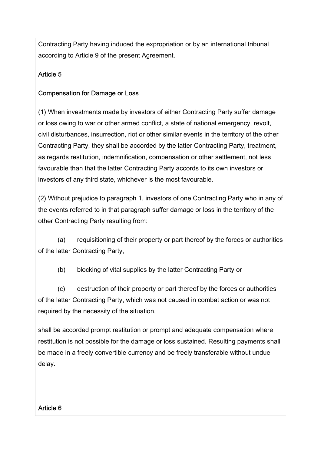Contracting Party having induced the expropriation or by an international tribunal according to Article 9 of the present Agreement.

# Article 5

### Compensation for Damage or Loss

(1) When investments made by investors of either Contracting Party suffer damage or loss owing to war or other armed conflict, a state of national emergency, revolt, civil disturbances, insurrection, riot or other similar events in the territory of the other Contracting Party, they shall be accorded by the latter Contracting Party, treatment, as regards restitution, indemnification, compensation or other settlement, not less favourable than that the latter Contracting Party accords to its own investors or investors of any third state, whichever is the most favourable.

(2) Without prejudice to paragraph 1, investors of one Contracting Party who in any of the events referred to in that paragraph suffer damage or loss in the territory of the other Contracting Party resulting from:

 (a) requisitioning of their property or part thereof by the forces or authorities of the latter Contracting Party,

(b) blocking of vital supplies by the latter Contracting Party or

 (c) destruction of their property or part thereof by the forces or authorities of the latter Contracting Party, which was not caused in combat action or was not required by the necessity of the situation,

shall be accorded prompt restitution or prompt and adequate compensation where restitution is not possible for the damage or loss sustained. Resulting payments shall be made in a freely convertible currency and be freely transferable without undue delay.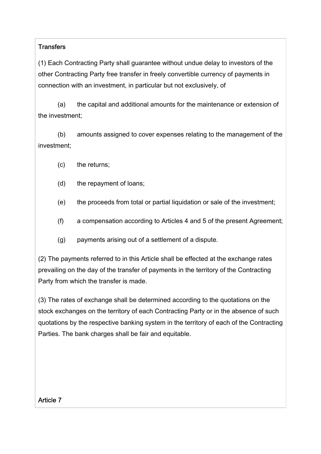#### **Transfers**

(1) Each Contracting Party shall guarantee without undue delay to investors of the other Contracting Party free transfer in freely convertible currency of payments in connection with an investment, in particular but not exclusively, of

 (a) the capital and additional amounts for the maintenance or extension of the investment;

 (b) amounts assigned to cover expenses relating to the management of the investment;

- (c) the returns;
- (d) the repayment of loans;
- (e) the proceeds from total or partial liquidation or sale of the investment;
- (f) a compensation according to Articles 4 and 5 of the present Agreement;
- (g) payments arising out of a settlement of a dispute.

(2) The payments referred to in this Article shall be effected at the exchange rates prevailing on the day of the transfer of payments in the territory of the Contracting Party from which the transfer is made.

(3) The rates of exchange shall be determined according to the quotations on the stock exchanges on the territory of each Contracting Party or in the absence of such quotations by the respective banking system in the territory of each of the Contracting Parties. The bank charges shall be fair and equitable.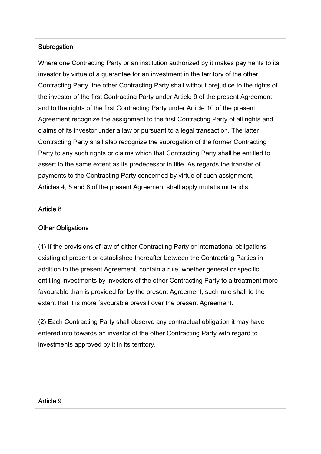#### **Subrogation**

Where one Contracting Party or an institution authorized by it makes payments to its investor by virtue of a guarantee for an investment in the territory of the other Contracting Party, the other Contracting Party shall without prejudice to the rights of the investor of the first Contracting Party under Article 9 of the present Agreement and to the rights of the first Contracting Party under Article 10 of the present Agreement recognize the assignment to the first Contracting Party of all rights and claims of its investor under a law or pursuant to a legal transaction. The latter Contracting Party shall also recognize the subrogation of the former Contracting Party to any such rights or claims which that Contracting Party shall be entitled to assert to the same extent as its predecessor in title. As regards the transfer of payments to the Contracting Party concerned by virtue of such assignment, Articles 4, 5 and 6 of the present Agreement shall apply mutatis mutandis.

#### Article 8

#### Other Obligations

(1) If the provisions of law of either Contracting Party or international obligations existing at present or established thereafter between the Contracting Parties in addition to the present Agreement, contain a rule, whether general or specific, entitling investments by investors of the other Contracting Party to a treatment more favourable than is provided for by the present Agreement, such rule shall to the extent that it is more favourable prevail over the present Agreement.

(2) Each Contracting Party shall observe any contractual obligation it may have entered into towards an investor of the other Contracting Party with regard to investments approved by it in its territory.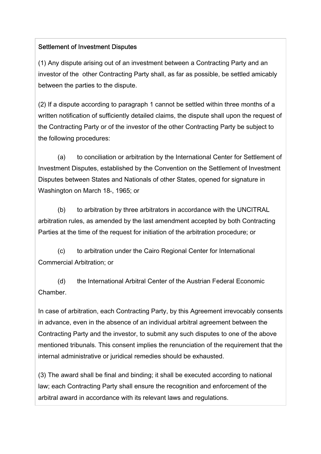#### Settlement of Investment Disputes

(1) Any dispute arising out of an investment between a Contracting Party and an investor of the other Contracting Party shall, as far as possible, be settled amicably between the parties to the dispute.

(2) If a dispute according to paragraph 1 cannot be settled within three months of a written notification of sufficiently detailed claims, the dispute shall upon the request of the Contracting Party or of the investor of the other Contracting Party be subject to the following procedures:

 (a) to conciliation or arbitration by the International Center for Settlement of Investment Disputes, established by the Convention on the Settlement of Investment Disputes between States and Nationals of other States, opened for signature in Washington on March  $18<sub>th</sub>$ , 1965; or

 (b) to arbitration by three arbitrators in accordance with the UNCITRAL arbitration rules, as amended by the last amendment accepted by both Contracting Parties at the time of the request for initiation of the arbitration procedure; or

 (c) to arbitration under the Cairo Regional Center for International Commercial Arbitration; or

 (d) the International Arbitral Center of the Austrian Federal Economic Chamber.

In case of arbitration, each Contracting Party, by this Agreement irrevocably consents in advance, even in the absence of an individual arbitral agreement between the Contracting Party and the investor, to submit any such disputes to one of the above mentioned tribunals. This consent implies the renunciation of the requirement that the internal administrative or juridical remedies should be exhausted.

(3) The award shall be final and binding; it shall be executed according to national law; each Contracting Party shall ensure the recognition and enforcement of the arbitral award in accordance with its relevant laws and regulations.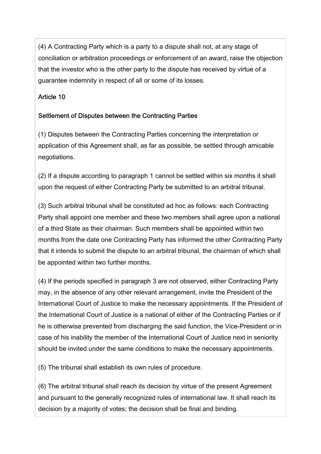(4) A Contracting Party which is a party to a dispute shall not, at any stage of conciliation or arbitration proceedings or enforcement of an award, raise the objection that the investor who is the other party to the dispute has received by virtue of a guarantee indemnity in respect of all or some of its losses.

# Article 10

# Settlement of Disputes between the Contracting Parties

(1) Disputes between the Contracting Parties concerning the interpretation or application of this Agreement shall, as far as possible, be settled through amicable negotiations.

(2) If a dispute according to paragraph 1 cannot be settled within six months it shall upon the request of either Contracting Party be submitted to an arbitral tribunal.

(3) Such arbitral tribunal shall be constituted ad hoc as follows: each Contracting Party shall appoint one member and these two members shall agree upon a national of a third State as their chairman. Such members shall be appointed within two months from the date one Contracting Party has informed the other Contracting Party that it intends to submit the dispute to an arbitral tribunal, the chairman of which shall be appointed within two further months.

(4) If the periods specified in paragraph 3 are not observed, either Contracting Party may, in the absence of any other relevant arrangement, invite the President of the International Court of Justice to make the necessary appointments. If the President of the International Court of Justice is a national of either of the Contracting Parties or if he is otherwise prevented from discharging the said function, the Vice-President or in case of his inability the member of the International Court of Justice next in seniority should be invited under the same conditions to make the necessary appointments.

(5) The tribunal shall establish its own rules of procedure.

(6) The arbitral tribunal shall reach its decision by virtue of the present Agreement and pursuant to the generally recognized rules of international law. It shall reach its decision by a majority of votes; the decision shall be final and binding.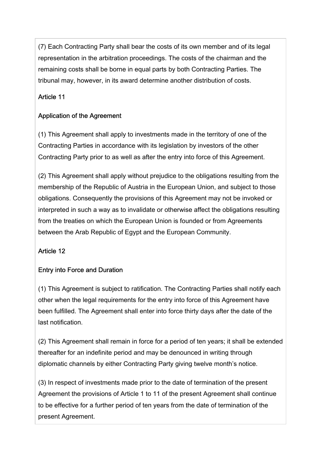(7) Each Contracting Party shall bear the costs of its own member and of its legal representation in the arbitration proceedings. The costs of the chairman and the remaining costs shall be borne in equal parts by both Contracting Parties. The tribunal may, however, in its award determine another distribution of costs.

### Article 11

### Application of the Agreement

(1) This Agreement shall apply to investments made in the territory of one of the Contracting Parties in accordance with its legislation by investors of the other Contracting Party prior to as well as after the entry into force of this Agreement.

(2) This Agreement shall apply without prejudice to the obligations resulting from the membership of the Republic of Austria in the European Union, and subject to those obligations. Consequently the provisions of this Agreement may not be invoked or interpreted in such a way as to invalidate or otherwise affect the obligations resulting from the treaties on which the European Union is founded or from Agreements between the Arab Republic of Egypt and the European Community.

# Article 12

# Entry into Force and Duration

(1) This Agreement is subject to ratification. The Contracting Parties shall notify each other when the legal requirements for the entry into force of this Agreement have been fulfilled. The Agreement shall enter into force thirty days after the date of the last notification.

(2) This Agreement shall remain in force for a period of ten years; it shall be extended thereafter for an indefinite period and may be denounced in writing through diplomatic channels by either Contracting Party giving twelve month's notice.

(3) In respect of investments made prior to the date of termination of the present Agreement the provisions of Article 1 to 11 of the present Agreement shall continue to be effective for a further period of ten years from the date of termination of the present Agreement.